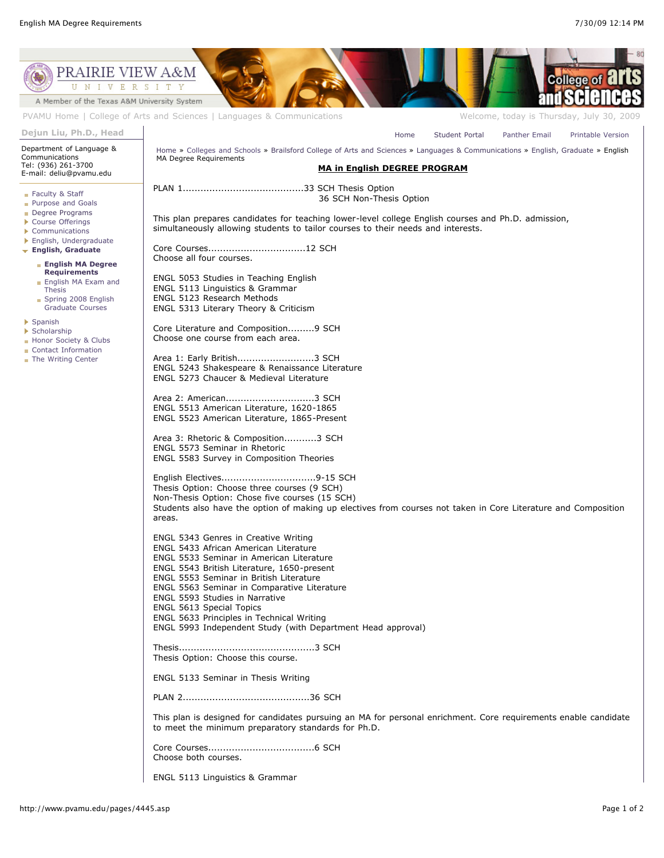